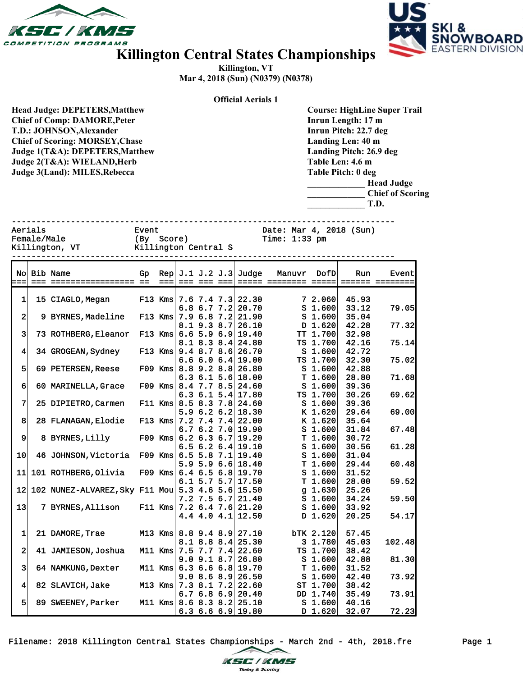



## **Killington Central States Championships**

**Killington, VT Mar 4, 2018 (Sun) (N0379) (N0378)**

|                         |                                                                                                                                                                                                                                                      |                                                                    |           |                       |                   |  | <b>Official Aerials 1</b>                                |                                                                                                                                                                                                                                      |                                          |                         |                 |  |  |
|-------------------------|------------------------------------------------------------------------------------------------------------------------------------------------------------------------------------------------------------------------------------------------------|--------------------------------------------------------------------|-----------|-----------------------|-------------------|--|----------------------------------------------------------|--------------------------------------------------------------------------------------------------------------------------------------------------------------------------------------------------------------------------------------|------------------------------------------|-------------------------|-----------------|--|--|
|                         | <b>Head Judge: DEPETERS, Matthew</b><br><b>Chief of Comp: DAMORE, Peter</b><br>T.D.: JOHNSON, Alexander<br><b>Chief of Scoring: MORSEY, Chase</b><br>Judge 1(T&A): DEPETERS, Matthew<br>Judge 2(T&A): WIELAND, Herb<br>Judge 3(Land): MILES, Rebecca |                                                                    |           |                       |                   |  |                                                          | <b>Course: HighLine Super Trail</b><br>Inrun Length: 17 m<br>Inrun Pitch: 22.7 deg<br>Landing Len: 40 m<br>Landing Pitch: 26.9 deg<br>Table Len: 4.6 m<br>Table Pitch: 0 deg<br><b>Head Judge</b><br><b>Chief of Scoring</b><br>T.D. |                                          |                         |                 |  |  |
| Aerials<br>Female/Male  | Killington, VT                                                                                                                                                                                                                                       | Event<br>Time: $1:33$ pm<br>( Ву<br>Score)<br>Killington Central S |           |                       |                   |  |                                                          |                                                                                                                                                                                                                                      |                                          | Date: Mar 4, 2018 (Sun) |                 |  |  |
|                         |                                                                                                                                                                                                                                                      |                                                                    |           |                       |                   |  |                                                          |                                                                                                                                                                                                                                      |                                          |                         |                 |  |  |
| Nol                     | Bib Name                                                                                                                                                                                                                                             | Gp                                                                 |           |                       |                   |  | $\text{Rep}$ J.1 J.2 J.3 Judge                           | Manuvr                                                                                                                                                                                                                               | DofD                                     | Run                     | Event           |  |  |
| $==$                    |                                                                                                                                                                                                                                                      |                                                                    | $= = =$   |                       | === === ===       |  |                                                          | ===== ======== =====                                                                                                                                                                                                                 |                                          |                         | ====== ======== |  |  |
| 1                       | 15 CIAGLO, Megan                                                                                                                                                                                                                                     |                                                                    | $F13$ Kms |                       | $7.6$ $7.4$ $7.3$ |  | 22.30                                                    |                                                                                                                                                                                                                                      | 7 2.060                                  | 45.93                   |                 |  |  |
|                         |                                                                                                                                                                                                                                                      |                                                                    |           |                       |                   |  | 6.8 6.7 7.2 20.70                                        |                                                                                                                                                                                                                                      | S <sub>1.600</sub>                       | 33.12                   | 79.05           |  |  |
| 2                       | 9 BYRNES, Madeline                                                                                                                                                                                                                                   |                                                                    |           |                       |                   |  | F13 Kms $7.9$ 6.8 $7.2$ 21.90                            |                                                                                                                                                                                                                                      | S <sub>1.600</sub>                       | 35.04                   |                 |  |  |
|                         |                                                                                                                                                                                                                                                      |                                                                    |           |                       | 8.1 9.3 8.7       |  | 26.10                                                    |                                                                                                                                                                                                                                      | D 1.620                                  | 42.28<br>32.98          | 77.32           |  |  |
| 3                       | 73 ROTHBERG, Eleanor                                                                                                                                                                                                                                 |                                                                    |           |                       |                   |  | F13 Kms $6.6$ 5.9 6.9 19.40<br>$8.1$ $8.3$ $8.4$ $24.80$ |                                                                                                                                                                                                                                      | TT 1.700<br>TS 1.700                     | 42.16                   | 75.14           |  |  |
| 4                       | 34 GROGEAN, Sydney                                                                                                                                                                                                                                   |                                                                    |           | F13 Kms $9.4$ 8.7 8.6 |                   |  | 26.70                                                    |                                                                                                                                                                                                                                      | S <sub>1.600</sub>                       | 42.72                   |                 |  |  |
|                         |                                                                                                                                                                                                                                                      |                                                                    |           |                       | 6.66.06.4         |  | 19.00                                                    |                                                                                                                                                                                                                                      | TS 1.700                                 | 32.30                   | 75.02           |  |  |
| 5                       | 69 PETERSEN, Reese                                                                                                                                                                                                                                   |                                                                    |           |                       |                   |  | F09 Kms $8.8$ 9.2 $8.8$ 26.80                            |                                                                                                                                                                                                                                      | S <sub>1.600</sub>                       | 42.88                   |                 |  |  |
|                         |                                                                                                                                                                                                                                                      |                                                                    |           |                       |                   |  | $6.3$ $6.1$ $5.6$ 18.00                                  |                                                                                                                                                                                                                                      | T1.600                                   | 28.80                   | 71.68           |  |  |
| 6                       | 60 MARINELLA, Grace                                                                                                                                                                                                                                  |                                                                    | $F09$ Kms |                       | 8.4 7.7 8.5       |  | 24.60<br>6.3 6.1 5.4 17.80                               |                                                                                                                                                                                                                                      | S <sub>1.600</sub><br>TS 1.700           | 39.36<br>30.26          |                 |  |  |
| 7                       | 25 DIPIETRO, Carmen                                                                                                                                                                                                                                  |                                                                    |           |                       |                   |  | F11 Kms 8.5 8.3 7.8 24.60                                |                                                                                                                                                                                                                                      | S <sub>1.600</sub>                       | 39.36                   | 69.62           |  |  |
|                         |                                                                                                                                                                                                                                                      |                                                                    |           |                       | 5.96.26.2         |  | 18.30                                                    |                                                                                                                                                                                                                                      | K 1.620                                  | 29.64                   | 69.00           |  |  |
| 8                       | 28 FLANAGAN, Elodie                                                                                                                                                                                                                                  |                                                                    |           |                       |                   |  | F13 Kms $7.2$ $7.4$ $7.4$ $22.00$                        |                                                                                                                                                                                                                                      | K 1.620                                  | 35.64                   |                 |  |  |
|                         |                                                                                                                                                                                                                                                      |                                                                    |           |                       |                   |  | $6.7$ $6.2$ $7.0$ 19.90                                  |                                                                                                                                                                                                                                      | S <sub>1.600</sub>                       | 31.84                   | 67.48           |  |  |
| 9                       | 8 BYRNES, Lilly                                                                                                                                                                                                                                      |                                                                    | $F09$ Kms |                       | $6.2$ 6.3 6.7     |  | 19.20                                                    |                                                                                                                                                                                                                                      | T1.600                                   | 30.72                   |                 |  |  |
| 10                      | 46 JOHNSON, Victoria                                                                                                                                                                                                                                 |                                                                    |           |                       |                   |  | $6.5$ $6.2$ $6.4$ 19.10<br>F09 Kms $6.5$ 5.8 7.1 19.40   |                                                                                                                                                                                                                                      | S <sub>1.600</sub><br>S <sub>1.600</sub> | 30.56<br>31.04          | 61.28           |  |  |
|                         |                                                                                                                                                                                                                                                      |                                                                    |           |                       |                   |  | $5.9$ 5.9 6.6 18.40                                      |                                                                                                                                                                                                                                      | T1.600                                   | 29.44                   | 60.48           |  |  |
| 11                      | 101 ROTHBERG, Olivia                                                                                                                                                                                                                                 |                                                                    |           |                       |                   |  | F09 Kms $6.4$ 6.5 6.8 19.70                              |                                                                                                                                                                                                                                      | S <sub>1.600</sub>                       | 31.52                   |                 |  |  |
|                         |                                                                                                                                                                                                                                                      |                                                                    |           |                       |                   |  | $6.1$ 5.7 5.7 17.50                                      |                                                                                                                                                                                                                                      | T1.600                                   | 28.00                   | 59.52           |  |  |
|                         | 12 102 NUNEZ-ALVAREZ, Sky F11 Mou 5.3 4.6 5.6 15.50                                                                                                                                                                                                  |                                                                    |           |                       |                   |  |                                                          |                                                                                                                                                                                                                                      | $g$ 1.630                                | 25.26                   |                 |  |  |
| 13                      | 7 BYRNES, Allison                                                                                                                                                                                                                                    |                                                                    |           |                       |                   |  | $7.2$ 7.5 6.7 21.40<br>F11 Kms $7.2$ 6.4 7.6 21.20       |                                                                                                                                                                                                                                      | S <sub>1.600</sub><br>S <sub>1.600</sub> | 34.24<br>33.92          | 59.50           |  |  |
|                         |                                                                                                                                                                                                                                                      |                                                                    |           |                       |                   |  | 4.4 4.0 4.1 $12.50$                                      |                                                                                                                                                                                                                                      | D 1.620                                  | 20.25                   | 54.17           |  |  |
|                         |                                                                                                                                                                                                                                                      |                                                                    |           |                       |                   |  |                                                          |                                                                                                                                                                                                                                      |                                          |                         |                 |  |  |
| 1                       | 21 DAMORE, Trae                                                                                                                                                                                                                                      |                                                                    |           |                       |                   |  | M13 Kms 8.8 9.4 8.9 27.10                                |                                                                                                                                                                                                                                      | bTK 2.120                                | 57.45                   |                 |  |  |
|                         |                                                                                                                                                                                                                                                      |                                                                    |           |                       |                   |  | $8.1$ $8.8$ $8.4$ 25.30                                  |                                                                                                                                                                                                                                      | 3 1.780                                  | 45.03                   | 102.48          |  |  |
| 2                       | 41 JAMIESON, Joshua                                                                                                                                                                                                                                  |                                                                    | $M11$ Kms | $7.5$ 7.7 7.4         | $9.0$ $9.1$ $8.7$ |  | 22.60<br>26.80                                           |                                                                                                                                                                                                                                      | TS 1.700<br>S <sub>1.600</sub>           | 38.42<br>42.88          | 81.30           |  |  |
| $\overline{\mathbf{3}}$ | 64 NAMKUNG, Dexter                                                                                                                                                                                                                                   |                                                                    |           |                       |                   |  | M11 Kms $6.3$ 6.6 6.8 19.70                              |                                                                                                                                                                                                                                      | T1.600                                   | 31.52                   |                 |  |  |
|                         |                                                                                                                                                                                                                                                      |                                                                    |           |                       | 9.08.68.9         |  | 26.50                                                    |                                                                                                                                                                                                                                      | S <sub>1.600</sub>                       | 42.40                   | 73.92           |  |  |
| 4                       | 82 SLAVICH, Jake                                                                                                                                                                                                                                     |                                                                    |           |                       |                   |  | M13 Kms 7.3 8.1 7.2 22.60                                |                                                                                                                                                                                                                                      | ST 1.700                                 | 38.42                   |                 |  |  |
|                         |                                                                                                                                                                                                                                                      |                                                                    |           |                       |                   |  | $6.76.86.9$ 20.40                                        |                                                                                                                                                                                                                                      | DD 1.740                                 | 35.49                   | 73.91           |  |  |
| 5                       | 89 SWEENEY, Parker                                                                                                                                                                                                                                   |                                                                    |           |                       |                   |  | M11 Kms $ 8.6 8.3 8.2 25.10$<br>$6.3$ $6.6$ $6.9$ 19.80  |                                                                                                                                                                                                                                      | S <sub>1.600</sub><br>$D$ 1.620          | 40.16<br>32.07          | 72.23           |  |  |
|                         |                                                                                                                                                                                                                                                      |                                                                    |           |                       |                   |  |                                                          |                                                                                                                                                                                                                                      |                                          |                         |                 |  |  |

Filename: 2018 Killington Central States Championships - March 2nd - 4th, 2018.fre Page 1